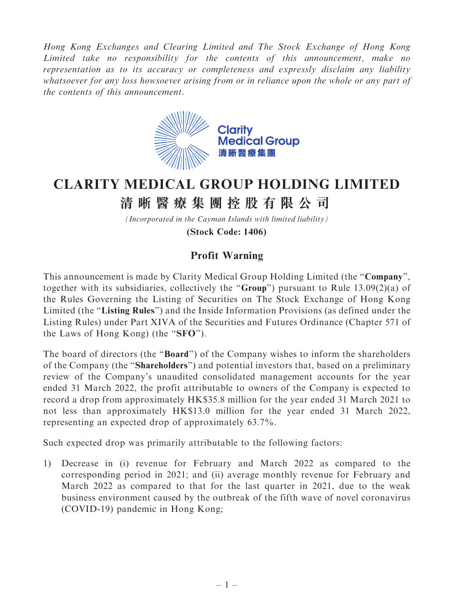Hong Kong Exchanges and Clearing Limited and The Stock Exchange of Hong Kong Limited take no responsibility for the contents of this announcement, make no representation as to its accuracy or completeness and expressly disclaim any liability whatsoever for any loss howsoever arising from or in reliance upon the whole or any part of the contents of this announcement.



## **CLARITY MEDICAL GROUP HOLDING LIMITED**

## **清晰醫療集團控股有限公司**

*(Incorporated in the Cayman Islands with limited liability)*

**(Stock Code: 1406)**

## Profit Warning

This announcement is made by Clarity Medical Group Holding Limited (the "Company", together with its subsidiaries, collectively the ''Group'') pursuant to Rule 13.09(2)(a) of the Rules Governing the Listing of Securities on The Stock Exchange of Hong Kong Limited (the "Listing Rules") and the Inside Information Provisions (as defined under the Listing Rules) under Part XIVA of the Securities and Futures Ordinance (Chapter 571 of the Laws of Hong Kong) (the ''SFO'').

The board of directors (the "**Board**") of the Company wishes to inform the shareholders of the Company (the ''Shareholders'') and potential investors that, based on a preliminary review of the Company's unaudited consolidated management accounts for the year ended 31 March 2022, the profit attributable to owners of the Company is expected to record a drop from approximately HK\$35.8 million for the year ended 31 March 2021 to not less than approximately HK\$13.0 million for the year ended 31 March 2022, representing an expected drop of approximately 63.7%.

Such expected drop was primarily attributable to the following factors:

1) Decrease in (i) revenue for February and March 2022 as compared to the corresponding period in 2021; and (ii) average monthly revenue for February and March 2022 as compared to that for the last quarter in 2021, due to the weak business environment caused by the outbreak of the fifth wave of novel coronavirus (COVID-19) pandemic in Hong Kong;